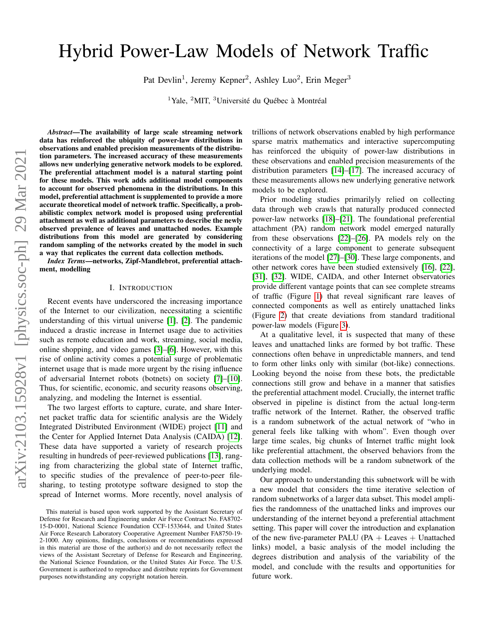# Hybrid Power-Law Models of Network Traffic

Pat Devlin<sup>1</sup>, Jeremy Kepner<sup>2</sup>, Ashley Luo<sup>2</sup>, Erin Meger<sup>3</sup>

<sup>1</sup>Yale, <sup>2</sup>MIT, <sup>3</sup>Université du Québec à Montréal

*Abstract*—The availability of large scale streaming network data has reinforced the ubiquity of power-law distributions in observations and enabled precision measurements of the distribution parameters. The increased accuracy of these measurements allows new underlying generative network models to be explored. The preferential attachment model is a natural starting point for these models. This work adds additional model components to account for observed phenomena in the distributions. In this model, preferential attachment is supplemented to provide a more accurate theoretical model of network traffic. Specifically, a probabilistic complex network model is proposed using preferential attachment as well as additional parameters to describe the newly observed prevalence of leaves and unattached nodes. Example distributions from this model are generated by considering random sampling of the networks created by the model in such a way that replicates the current data collection methods.

*Index Terms*—networks, Zipf-Mandlebrot, preferential attachment, modelling

## I. INTRODUCTION

Recent events have underscored the increasing importance of the Internet to our civilization, necessitating a scientific understanding of this virtual universe [\[1\]](#page-6-0), [\[2\]](#page-6-1). The pandemic induced a drastic increase in Internet usage due to activities such as remote education and work, streaming, social media, online shopping, and video games [\[3\]](#page-6-2)–[\[6\]](#page-6-3). However, with this rise of online activity comes a potential surge of problematic internet usage that is made more urgent by the rising influence of adversarial Internet robots (botnets) on society [\[7\]](#page-6-4)–[\[10\]](#page-6-5). Thus, for scientific, economic, and security reasons observing, analyzing, and modeling the Internet is essential.

The two largest efforts to capture, curate, and share Internet packet traffic data for scientific analysis are the Widely Integrated Distributed Environment (WIDE) project [\[11\]](#page-6-6) and the Center for Applied Internet Data Analysis (CAIDA) [\[12\]](#page-6-7). These data have supported a variety of research projects resulting in hundreds of peer-reviewed publications [\[13\]](#page-6-8), ranging from characterizing the global state of Internet traffic, to specific studies of the prevalence of peer-to-peer filesharing, to testing prototype software designed to stop the spread of Internet worms. More recently, novel analysis of trillions of network observations enabled by high performance sparse matrix mathematics and interactive supercomputing has reinforced the ubiquity of power-law distributions in these observations and enabled precision measurements of the distribution parameters [\[14\]](#page-6-9)–[\[17\]](#page-7-0). The increased accuracy of these measurements allows new underlying generative network models to be explored.

Prior modeling studies primarilyly relied on collecting data through web crawls that naturally produced connected power-law networks [\[18\]](#page-7-1)–[\[21\]](#page-7-2). The foundational preferential attachment (PA) random network model emerged naturally from these observations [\[22\]](#page-7-3)–[\[26\]](#page-7-4). PA models rely on the connectivity of a large component to generate subsequent iterations of the model [\[27\]](#page-7-5)–[\[30\]](#page-7-6). These large components, and other network cores have been studied extensively [\[16\]](#page-7-7), [\[22\]](#page-7-3), [\[31\]](#page-7-8), [\[32\]](#page-7-9). WIDE, CAIDA, and other Internet observatories provide different vantage points that can see complete streams of traffic (Figure [1\)](#page-1-0) that reveal significant rare leaves of connected components as well as entirely unattached links (Figure [2\)](#page-1-1) that create deviations from standard traditional power-law models (Figure [3\)](#page-2-0).

At a qualitative level, it is suspected that many of these leaves and unattached links are formed by bot traffic. These connections often behave in unpredictable manners, and tend to form other links only with similar (bot-like) connections. Looking beyond the noise from these bots, the predictable connections still grow and behave in a manner that satisfies the preferential attachment model. Crucially, the internet traffic observed in pipeline is distinct from the actual long-term traffic network of the Internet. Rather, the observed traffic is a random subnetwork of the actual network of "who in general feels like talking with whom". Even though over large time scales, big chunks of Internet traffic might look like preferential attachment, the observed behaviors from the data collection methods will be a random subnetwork of the underlying model.

Our approach to understanding this subnetwork will be with a new model that considers the time iterative selection of random subnetworks of a larger data subset. This model amplifies the randomness of the unattached links and improves our understanding of the internet beyond a preferential attachment setting. This paper will cover the introduction and explanation of the new five-parameter PALU (PA  $+$  Leaves  $+$  Unattached links) model, a basic analysis of the model including the degrees distribution and analysis of the variability of the model, and conclude with the results and opportunities for future work.

This material is based upon work supported by the Assistant Secretary of Defense for Research and Engineering under Air Force Contract No. FA8702- 15-D-0001, National Science Foundation CCF-1533644, and United States Air Force Research Laboratory Cooperative Agreement Number FA8750-19- 2-1000. Any opinions, findings, conclusions or recommendations expressed in this material are those of the author(s) and do not necessarily reflect the views of the Assistant Secretary of Defense for Research and Engineering, the National Science Foundation, or the United States Air Force. The U.S. Government is authorized to reproduce and distribute reprints for Government purposes notwithstanding any copyright notation herein.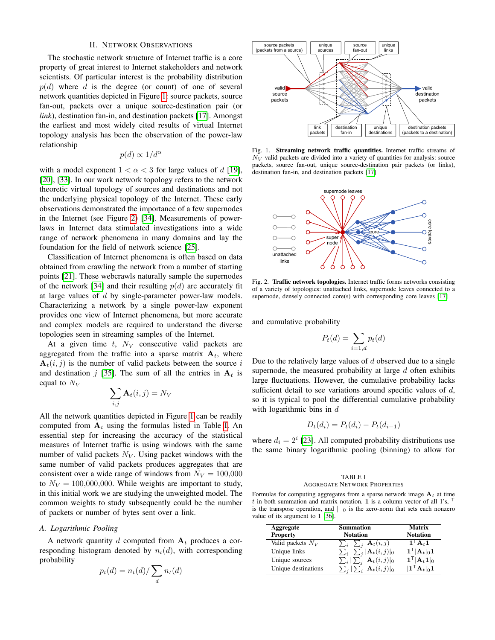# II. NETWORK OBSERVATIONS

The stochastic network structure of Internet traffic is a core property of great interest to Internet stakeholders and network scientists. Of particular interest is the probability distribution  $p(d)$  where d is the degree (or count) of one of several network quantities depicted in Figure [1:](#page-1-0) source packets, source fan-out, packets over a unique source-destination pair (or *link*), destination fan-in, and destination packets [\[17\]](#page-7-0). Amongst the earliest and most widely cited results of virtual Internet topology analysis has been the observation of the power-law relationship

$$
p(d) \propto 1/d^{\alpha}
$$

with a model exponent  $1 < \alpha < 3$  for large values of d [\[19\]](#page-7-10), [\[20\]](#page-7-11), [\[33\]](#page-7-12). In our work network topology refers to the network theoretic virtual topology of sources and destinations and not the underlying physical topology of the Internet. These early observations demonstrated the importance of a few supernodes in the Internet (see Figure [2\)](#page-1-1) [\[34\]](#page-7-13). Measurements of powerlaws in Internet data stimulated investigations into a wide range of network phenomena in many domains and lay the foundation for the field of network science [\[25\]](#page-7-14).

Classification of Internet phenomena is often based on data obtained from crawling the network from a number of starting points [\[21\]](#page-7-2). These webcrawls naturally sample the supernodes of the network [\[34\]](#page-7-13) and their resulting  $p(d)$  are accurately fit at large values of  $d$  by single-parameter power-law models. Characterizing a network by a single power-law exponent provides one view of Internet phenomena, but more accurate and complex models are required to understand the diverse topologies seen in streaming samples of the Internet.

At a given time  $t$ ,  $N_V$  consecutive valid packets are aggregated from the traffic into a sparse matrix  $A_t$ , where  $A_t(i, j)$  is the number of valid packets between the source i and destination j [\[35\]](#page-7-15). The sum of all the entries in  $A_t$  is equal to  $N_V$ 

$$
\sum_{i,j} \mathbf{A}_t(i,j) = N_V
$$

All the network quantities depicted in Figure [1](#page-1-0) can be readily computed from  $A_t$  using the formulas listed in Table [I.](#page-1-2) An essential step for increasing the accuracy of the statistical measures of Internet traffic is using windows with the same number of valid packets  $N_V$ . Using packet windows with the same number of valid packets produces aggregates that are consistent over a wide range of windows from  $N_V = 100,000$ to  $N_V = 100,000,000$ . While weights are important to study, in this initial work we are studying the unweighted model. The common weights to study subsequently could be the number of packets or number of bytes sent over a link.

## *A. Logarithmic Pooling*

A network quantity d computed from  $A_t$  produces a corresponding histogram denoted by  $n_t(d)$ , with corresponding probability

$$
p_t(d) = n_t(d) / \sum_d n_t(d)
$$



<span id="page-1-0"></span>Fig. 1. Streaming network traffic quantities. Internet traffic streams of  $N_V$  valid packets are divided into a variety of quantities for analysis: source packets, source fan-out, unique source-destination pair packets (or links), destination fan-in, and destination packets [\[17\]](#page-7-0)



<span id="page-1-1"></span>Fig. 2. Traffic network topologies. Internet traffic forms networks consisting of a variety of topologies: unattached links, supernode leaves connected to a supernode, densely connected core(s) with corresponding core leaves [\[17\]](#page-7-0)

and cumulative probability

$$
P_t(d) = \sum_{i=1,d} p_t(d)
$$

Due to the relatively large values of  $d$  observed due to a single supernode, the measured probability at large  $d$  often exhibits large fluctuations. However, the cumulative probability lacks sufficient detail to see variations around specific values of  $d$ , so it is typical to pool the differential cumulative probability with logarithmic bins in  $d$ 

$$
D_t(d_i) = P_t(d_i) - P_t(d_{i-1})
$$

where  $d_i = 2^i$  [\[23\]](#page-7-16). All computed probability distributions use the same binary logarithmic pooling (binning) to allow for

#### TABLE I AGGREGATE NETWORK PROPERTIES

<span id="page-1-2"></span>Formulas for computing aggregates from a sparse network image  $A_t$  at time t in both summation and matrix notation. 1 is a column vector of all 1's, is the transpose operation, and  $\vert \vert_0$  is the zero-norm that sets each nonzero value of its argument to 1 [\[36\]](#page-7-17).

| Aggregate<br><b>Property</b> | <b>Summation</b><br><b>Notation</b>   | <b>Matrix</b><br><b>Notation</b>                    |
|------------------------------|---------------------------------------|-----------------------------------------------------|
| Valid packets $N_V$          | $\sum_i \sum_j \mathbf{A}_t(i,j)$     | $\mathbf{1}^{\mathsf{T}}\mathbf{A}_t\mathbf{1}$     |
| Unique links                 | $\sum_i \sum_j  \mathbf{A}_t(i,j) _0$ | $\mathbf{1}^\mathsf{T}  \mathbf{A}_t _0 \mathbf{1}$ |
| Unique sources               | $\sum_i  \sum_j \mathbf{A}_t(i,j) _0$ | $\mathbf{1}^\mathsf{T}  \mathbf{A}_t \mathbf{1} _0$ |
| Unique destinations          | $\sum_i  \sum_i \mathbf{A}_t(i,j) _0$ | $ \mathbf{1}^\mathsf{T}\mathbf{A}_t _0\mathbf{1}$   |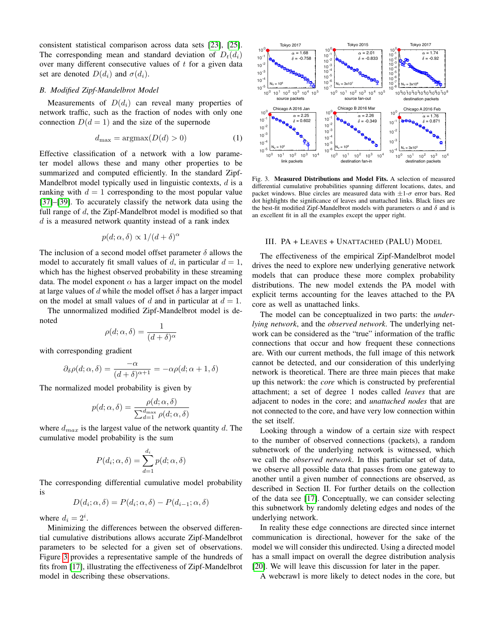consistent statistical comparison across data sets [\[23\]](#page-7-16), [\[25\]](#page-7-14). The corresponding mean and standard deviation of  $D_t(d_i)$ over many different consecutive values of  $t$  for a given data set are denoted  $D(d_i)$  and  $\sigma(d_i)$ .

# B. Modified Zipf-Mandelbrot Model

Measurements of  $D(d_i)$  can reveal many properties of network traffic, such as the fraction of nodes with only one connection  $D(d=1)$  and the size of the supernode

$$
d_{\max} = \operatorname{argmax}(D(d) > 0)
$$
 (1)

Effective classification of a network with a low parameter model allows these and many other properties to be summarized and computed efficiently. In the standard Zipf-Mandelbrot model typically used in linguistic contexts,  $d$  is a ranking with  $d = 1$  corresponding to the most popular value [\[37\]](#page-7-18)–[\[39\]](#page-7-19). To accurately classify the network data using the full range of d, the Zipf-Mandelbrot model is modified so that  $d$  is a measured network quantity instead of a rank index

$$
p(d; \alpha, \delta) \propto 1/(d+\delta)^{\alpha}
$$

The inclusion of a second model offset parameter  $\delta$  allows the model to accurately fit small values of d, in particular  $d = 1$ , which has the highest observed probability in these streaming data. The model exponent  $\alpha$  has a larger impact on the model at large values of d while the model offset  $\delta$  has a larger impact on the model at small values of d and in particular at  $d = 1$ .

The unnormalized modified Zipf-Mandelbrot model is denoted

$$
\rho(d; \alpha, \delta) = \frac{1}{(d+\delta)^{\alpha}}
$$

with corresponding gradient

$$
\partial_{\delta}\rho(d;\alpha,\delta) = \frac{-\alpha}{(d+\delta)^{\alpha+1}} = -\alpha\rho(d;\alpha+1,\delta)
$$

The normalized model probability is given by

$$
p(d; \alpha, \delta) = \frac{\rho(d; \alpha, \delta)}{\sum_{d=1}^{d_{\max}} \rho(d; \alpha, \delta)}
$$

where  $d_{max}$  is the largest value of the network quantity d. The cumulative model probability is the sum

$$
P(d_i; \alpha, \delta) = \sum_{d=1}^{d_i} p(d; \alpha, \delta)
$$

The corresponding differential cumulative model probability is

$$
D(d_i; \alpha, \delta) = P(d_i; \alpha, \delta) - P(d_{i-1}; \alpha, \delta)
$$

where  $d_i = 2^i$ .

Minimizing the differences between the observed differential cumulative distributions allows accurate Zipf-Mandelbrot parameters to be selected for a given set of observations. Figure [3](#page-2-0) provides a representative sample of the hundreds of fits from [\[17\]](#page-7-0), illustrating the effectiveness of Zipf-Mandelbrot model in describing these observations.



<span id="page-2-0"></span>Fig. 3. Measured Distributions and Model Fits. A selection of measured differential cumulative probabilities spanning different locations, dates, and packet windows. Blue circles are measured data with  $\pm 1$ - $\sigma$  error bars. Red dot highlights the significance of leaves and unattached links. Black lines are the best-fit modified Zipf-Mandelbrot models with parameters  $\alpha$  and  $\delta$  and is an excellent fit in all the examples except the upper right.

#### III. PA + LEAVES + UNATTACHED (PALU) MODEL

The effectiveness of the empirical Zipf-Mandelbrot model drives the need to explore new underlying generative network models that can produce these more complex probability distributions. The new model extends the PA model with explicit terms accounting for the leaves attached to the PA core as well as unattached links.

The model can be conceptualized in two parts: the *underlying network*, and the *observed network*. The underlying network can be considered as the "true" information of the traffic connections that occur and how frequent these connections are. With our current methods, the full image of this network cannot be detected, and our consideration of this underlying network is theoretical. There are three main pieces that make up this network: the *core* which is constructed by preferential attachment; a set of degree 1 nodes called *leaves* that are adjacent to nodes in the core; and *unattached nodes* that are not connected to the core, and have very low connection within the set itself.

Looking through a window of a certain size with respect to the number of observed connections (packets), a random subnetwork of the underlying network is witnessed, which we call the *observed network*. In this particular set of data, we observe all possible data that passes from one gateway to another until a given number of connections are observed, as described in Section II. For further details on the collection of the data see [\[17\]](#page-7-0). Conceptually, we can consider selecting this subnetwork by randomly deleting edges and nodes of the underlying network.

In reality these edge connections are directed since internet communication is directional, however for the sake of the model we will consider this undirected. Using a directed model has a small impact on overall the degree distribution analysis [\[20\]](#page-7-11). We will leave this discussion for later in the paper.

A webcrawl is more likely to detect nodes in the core, but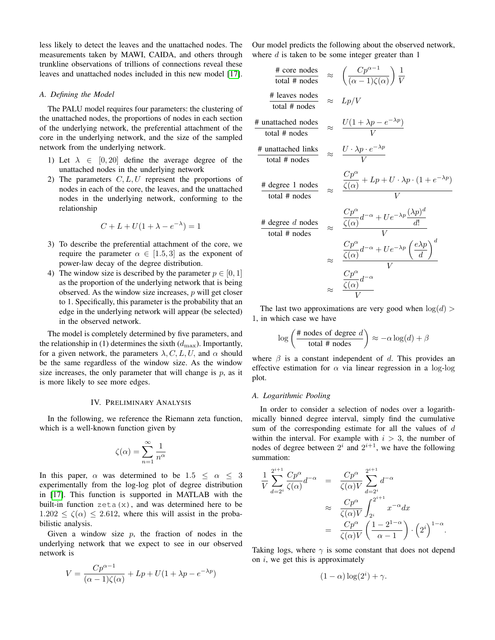less likely to detect the leaves and the unattached nodes. The measurements taken by MAWI, CAIDA, and others through trunkline observations of trillions of connections reveal these leaves and unattached nodes included in this new model [\[17\]](#page-7-0).

# *A. Defining the Model*

The PALU model requires four parameters: the clustering of the unattached nodes, the proportions of nodes in each section of the underlying network, the preferential attachment of the core in the underlying network, and the size of the sampled network from the underlying network.

- 1) Let  $\lambda \in [0, 20]$  define the average degree of the unattached nodes in the underlying network
- 2) The parameters  $C, L, U$  represent the proportions of nodes in each of the core, the leaves, and the unattached nodes in the underlying network, conforming to the relationship

$$
C + L + U(1 + \lambda - e^{-\lambda}) = 1
$$

- 3) To describe the preferential attachment of the core, we require the parameter  $\alpha \in [1.5, 3]$  as the exponent of power-law decay of the degree distribution.
- 4) The window size is described by the parameter  $p \in [0, 1]$ as the proportion of the underlying network that is being observed. As the window size increases,  $p$  will get closer to 1. Specifically, this parameter is the probability that an edge in the underlying network will appear (be selected) in the observed network.

The model is completely determined by five parameters, and the relationship in (1) determines the sixth  $(d_{\text{max}})$ . Importantly, for a given network, the parameters  $\lambda, C, L, U$ , and  $\alpha$  should be the same regardless of the window size. As the window size increases, the only parameter that will change is  $p$ , as it is more likely to see more edges.

#### IV. PRELIMINARY ANALYSIS

In the following, we reference the Riemann zeta function, which is a well-known function given by

$$
\zeta(\alpha) = \sum_{n=1}^{\infty} \frac{1}{n^{\alpha}}
$$

In this paper,  $\alpha$  was determined to be 1.5  $\leq \alpha \leq 3$ experimentally from the log-log plot of degree distribution in [\[17\]](#page-7-0). This function is supported in MATLAB with the built-in function  $zeta(x)$ , and was determined here to be  $1.202 \le \zeta(\alpha) \le 2.612$ , where this will assist in the probabilistic analysis.

Given a window size  $p$ , the fraction of nodes in the underlying network that we expect to see in our observed network is

$$
V = \frac{Cp^{\alpha - 1}}{(\alpha - 1)\zeta(\alpha)} + Lp + U(1 + \lambda p - e^{-\lambda p})
$$

Our model predicts the following about the observed network, where  $d$  is taken to be some integer greater than 1

$$
\frac{\text{\# core nodes}}{\text{total \# nodes}} \approx \left(\frac{Cp^{\alpha-1}}{(\alpha-1)\zeta(\alpha)}\right) \frac{1}{V}
$$
\n
$$
\frac{\text{\# leaves nodes}}{\text{total \# nodes}} \approx Lp/V
$$
\n
$$
\frac{\text{\# unattached nodes}}{\text{total \# nodes}} \approx \frac{U(1 + \lambda p - e^{-\lambda p})}{V}
$$
\n
$$
\frac{\text{\# unattached links}}{\text{total \# nodes}} \approx \frac{U \cdot \lambda p \cdot e^{-\lambda p}}{V}
$$
\n
$$
\frac{\text{\# degree 1 nodes}}{\text{total \# nodes}} \approx \frac{\frac{Cp^{\alpha}}{\zeta(\alpha)} + Lp + U \cdot \lambda p \cdot (1 + e^{-\lambda p})}{V}
$$
\n
$$
\frac{\text{\# degree } d \text{ nodes}}{\text{total \# nodes}} \approx \frac{\frac{Cp^{\alpha}}{\zeta(\alpha)}d^{-\alpha} + Ue^{-\lambda p} \frac{(\lambda p)^{d}}{d!}}{V}
$$
\n
$$
\approx \frac{\frac{Cp^{\alpha}}{\zeta(\alpha)}d^{-\alpha} + Ue^{-\lambda p} \left(\frac{e\lambda p}{d}\right)^{d}}{V}
$$
\n
$$
\approx \frac{\frac{Cp^{\alpha}}{\zeta(\alpha)}d^{-\alpha}}{V}
$$

The last two approximations are very good when  $log(d)$ 1, in which case we have

$$
\log\left(\frac{\text{\# nodes of degree } d}{\text{total \# nodes}}\right) \approx -\alpha \log(d) + \beta
$$

where  $\beta$  is a constant independent of d. This provides an effective estimation for  $\alpha$  via linear regression in a log-log plot.

## *A. Logarithmic Pooling*

In order to consider a selection of nodes over a logarithmically binned degree interval, simply find the cumulative sum of the corresponding estimate for all the values of d within the interval. For example with  $i > 3$ , the number of nodes of degree between  $2^i$  and  $2^{i+1}$ , we have the following summation:

$$
\frac{1}{V} \sum_{d=2^{i}}^{2^{i+1}} \frac{Cp^{\alpha}}{\zeta(\alpha)} d^{-\alpha} = \frac{Cp^{\alpha}}{\zeta(\alpha)V} \sum_{d=2^{i}}^{2^{i+1}} d^{-\alpha}
$$
\n
$$
\approx \frac{Cp^{\alpha}}{\zeta(\alpha)V} \int_{2^{i}}^{2^{i+1}} x^{-\alpha} dx
$$
\n
$$
= \frac{Cp^{\alpha}}{\zeta(\alpha)V} \left(\frac{1-2^{1-\alpha}}{\alpha-1}\right) \cdot \left(2^{i}\right)^{1-\alpha}.
$$

Taking logs, where  $\gamma$  is some constant that does not depend on  $i$ , we get this is approximately

$$
(1 - \alpha) \log(2^i) + \gamma.
$$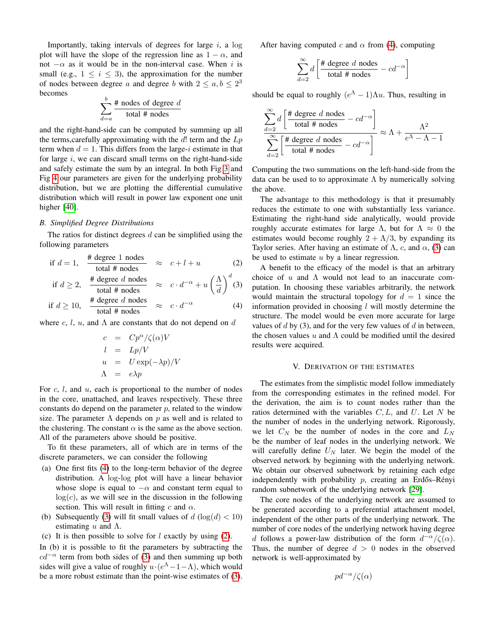Importantly, taking intervals of degrees for large  $i$ , a log plot will have the slope of the regression line as  $1 - \alpha$ , and not  $-\alpha$  as it would be in the non-interval case. When i is small (e.g.,  $1 \leq i \leq 3$ ), the approximation for the number of nodes between degree a and degree b with  $2 \le a, b \le 2^3$ becomes

$$
\sum_{d=a}^{b} \frac{\text{\# nodes of degree } d}{\text{total \# nodes}}
$$

and the right-hand-side can be computed by summing up all the terms, carefully approximating with the  $d!$  term and the  $Lp$ term when  $d = 1$ . This differs from the large-i estimate in that for large  $i$ , we can discard small terms on the right-hand-side and safely estimate the sum by an integral. In both Fig [3](#page-2-0) and Fig [4](#page-6-10) our parameters are given for the underlying probability distribution, but we are plotting the differential cumulative distribution which will result in power law exponent one unit higher [\[40\]](#page-7-20).

# *B. Simplified Degree Distributions*

The ratios for distinct degrees  $d$  can be simplified using the following parameters

<span id="page-4-0"></span>if 
$$
d = 1
$$
,  $\frac{\text{# degree 1 nodes}}{\text{total } \text{# nodes}}$   $\approx c + l + u$  (2)

if 
$$
d \ge 2
$$
,  $\frac{\text{# degree } d \text{ nodes}}{\text{total } \text{# nodes}}$   $\approx c \cdot d^{-\alpha} + u \left(\frac{\Lambda}{d}\right)^d (3)$ 

if 
$$
d \ge 10
$$
,  $\frac{\text{# degree } d \text{ nodes}}{\text{total } \text{# nodes}} \approx c \cdot d^{-\alpha}$  (4)

where c, l, u, and  $\Lambda$  are constants that do not depend on d

$$
c = Cp^{\alpha}/\zeta(\alpha)V
$$
  
\n
$$
l = Lp/V
$$
  
\n
$$
u = U \exp(-\lambda p)/V
$$
  
\n
$$
\Lambda = e\lambda p
$$

For  $c$ ,  $l$ , and  $u$ , each is proportional to the number of nodes in the core, unattached, and leaves respectively. These three constants do depend on the parameter  $p$ , related to the window size. The parameter  $\Lambda$  depends on p as well and is related to the clustering. The constant  $\alpha$  is the same as the above section. All of the parameters above should be positive.

To fit these parameters, all of which are in terms of the discrete parameters, we can consider the following

- (a) One first fits [\(4\)](#page-4-0) to the long-term behavior of the degree distribution. A log-log plot will have a linear behavior whose slope is equal to  $-\alpha$  and constant term equal to  $log(c)$ , as we will see in the discussion in the following section. This will result in fitting c and  $\alpha$ .
- (b) Subsequently [\(3\)](#page-4-0) will fit small values of  $d (\log(d) < 10)$ estimating u and  $\Lambda$ .
- (c) It is then possible to solve for  $l$  exactly by using [\(2\)](#page-4-0).

In (b) it is possible to fit the parameters by subtracting the  $cd^{-\alpha}$  term from both sides of [\(3\)](#page-4-0) and then summing up both sides will give a value of roughly  $u \cdot (e^{\Lambda} - 1 - \Lambda)$ , which would be a more robust estimate than the point-wise estimates of [\(3\)](#page-4-0). After having computed c and  $\alpha$  from [\(4\)](#page-4-0), computing

$$
\sum_{d=2}^{\infty} d \left[ \frac{\text{\# degree } d \text{ nodes}}{\text{total \# nodes}} - cd^{-\alpha} \right]
$$

should be equal to roughly  $(e^{\Lambda} - 1)\Lambda u$ . Thus, resulting in

$$
\sum_{\substack{d=2\\d=2}}^{\infty} d \left[ \frac{\text{# degree } d \text{ nodes}}{\text{total } \text{# nodes}} - cd^{-\alpha} \right] \approx \Lambda + \frac{\Lambda^2}{e^{\Lambda} - \Lambda - 1}
$$
  

$$
\sum_{d=2}^{\infty} \left[ \frac{\text{# degree } d \text{ nodes}}{\text{total } \text{# nodes}} - cd^{-\alpha} \right]
$$

Computing the two summations on the left-hand-side from the data can be used to to approximate  $\Lambda$  by numerically solving the above.

The advantage to this methodology is that it presumably reduces the estimate to one with substantially less variance. Estimating the right-hand side analytically, would provide roughly accurate estimates for large Λ, but for  $\Lambda \approx 0$  the estimates would become roughly  $2 + \Lambda/3$ , by expanding its Taylor series. After having an estimate of  $\Lambda$ , c, and  $\alpha$ , [\(3\)](#page-4-0) can be used to estimate  $u$  by a linear regression.

A benefit to the efficacy of the model is that an arbitrary choice of  $u$  and  $\Lambda$  would not lead to an inaccurate computation. In choosing these variables arbitrarily, the network would maintain the structural topology for  $d = 1$  since the information provided in choosing  $l$  will mostly determine the structure. The model would be even more accurate for large values of d by (3), and for the very few values of d in between, the chosen values  $u$  and  $\Lambda$  could be modified until the desired results were acquired.

## V. DERIVATION OF THE ESTIMATES

The estimates from the simplistic model follow immediately from the corresponding estimates in the refined model. For the derivation, the aim is to count nodes rather than the ratios determined with the variables  $C, L$ , and  $U$ . Let N be the number of nodes in the underlying network. Rigorously, we let  $C_N$  be the number of nodes in the core and  $L_N$ be the number of leaf nodes in the underlying network. We will carefully define  $U_N$  later. We begin the model of the observed network by beginning with the underlying network. We obtain our observed subnetwork by retaining each edge independently with probability  $p$ , creating an Erdős–Rényi random subnetwork of the underlying network [\[29\]](#page-7-21).

The core nodes of the underlying network are assumed to be generated according to a preferential attachment model, independent of the other parts of the underlying network. The number of core nodes of the underlying network having degree d follows a power-law distribution of the form  $d^{-\alpha}/\zeta(\alpha)$ . Thus, the number of degree  $d > 0$  nodes in the observed network is well-approximated by

$$
pd^{-\alpha}/\zeta(\alpha)
$$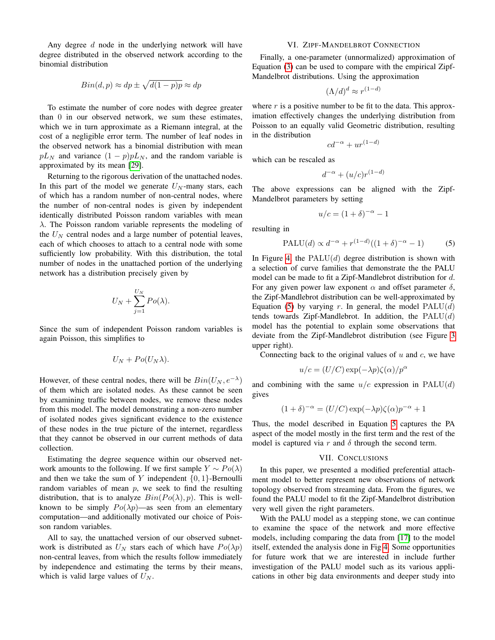Any degree d node in the underlying network will have degree distributed in the observed network according to the binomial distribution

$$
Bin(d, p) \approx dp \pm \sqrt{d(1-p)p} \approx dp
$$

To estimate the number of core nodes with degree greater than 0 in our observed network, we sum these estimates, which we in turn approximate as a Riemann integral, at the cost of a negligible error term. The number of leaf nodes in the observed network has a binomial distribution with mean  $pL_N$  and variance  $(1 - p)pL_N$ , and the random variable is approximated by its mean [\[29\]](#page-7-21).

Returning to the rigorous derivation of the unattached nodes. In this part of the model we generate  $U_N$ -many stars, each of which has a random number of non-central nodes, where the number of non-central nodes is given by independent identically distributed Poisson random variables with mean  $\lambda$ . The Poisson random variable represents the modeling of the  $U<sub>N</sub>$  central nodes and a large number of potential leaves, each of which chooses to attach to a central node with some sufficiently low probability. With this distribution, the total number of nodes in the unattached portion of the underlying network has a distribution precisely given by

$$
U_N + \sum_{j=1}^{U_N} Po(\lambda).
$$

Since the sum of independent Poisson random variables is again Poisson, this simplifies to

$$
U_N+Po(U_N\lambda).
$$

However, of these central nodes, there will be  $Bin(U_N, e^{-\lambda})$ of them which are isolated nodes. As these cannot be seen by examining traffic between nodes, we remove these nodes from this model. The model demonstrating a non-zero number of isolated nodes gives significant evidence to the existence of these nodes in the true picture of the internet, regardless that they cannot be observed in our current methods of data collection.

Estimating the degree sequence within our observed network amounts to the following. If we first sample  $Y \sim Po(\lambda)$ and then we take the sum of Y independent  $\{0, 1\}$ -Bernoulli random variables of mean  $p$ , we seek to find the resulting distribution, that is to analyze  $Bin(Po(\lambda), p)$ . This is wellknown to be simply  $Po(\lambda p)$ —as seen from an elementary computation—and additionally motivated our choice of Poisson random variables.

All to say, the unattached version of our observed subnetwork is distributed as  $U_N$  stars each of which have  $Po(\lambda p)$ non-central leaves, from which the results follow immediately by independence and estimating the terms by their means, which is valid large values of  $U_N$ .

# VI. ZIPF-MANDELBROT CONNECTION

Finally, a one-parameter (unnormalized) approximation of Equation [\(3\)](#page-4-0) can be used to compare with the empirical Zipf-Mandelbrot distributions. Using the approximation

$$
(\Lambda/d)^d \approx r^{(1-d)}
$$

where  $r$  is a positive number to be fit to the data. This approximation effectively changes the underlying distribution from Poisson to an equally valid Geometric distribution, resulting in the distribution

$$
cd^{-\alpha} + ur^{(1-d)}
$$

which can be rescaled as

$$
d^{-\alpha} + (u/c)r^{(1-d)}
$$

The above expressions can be aligned with the Zipf-Mandelbrot parameters by setting

$$
u/c = (1 + \delta)^{-\alpha} - 1
$$

resulting in

<span id="page-5-0"></span>
$$
PALU(d) \propto d^{-\alpha} + r^{(1-d)}((1+\delta)^{-\alpha} - 1)
$$
 (5)

In Figure [4,](#page-6-10) the  $\text{PALU}(d)$  degree distribution is shown with a selection of curve families that demonstrate the the PALU model can be made to fit a Zipf-Mandlebrot distribution for d. For any given power law exponent  $\alpha$  and offset parameter  $\delta$ , the Zipf-Mandlebrot distribution can be well-approximated by Equation [\(5\)](#page-5-0) by varying r. In general, the model  $\text{PALU}(d)$ tends towards Zipf-Mandlebrot. In addition, the  $\text{PALU}(d)$ model has the potential to explain some observations that deviate from the Zipf-Mandlebrot distribution (see Figure [3](#page-2-0) upper right).

Connecting back to the original values of  $u$  and  $c$ , we have

$$
u/c = (U/C) \exp(-\lambda p) \zeta(\alpha) / p^{\alpha}
$$

and combining with the same  $u/c$  expression in PALU(d) gives

$$
(1+\delta)^{-\alpha} = (U/C) \exp(-\lambda p) \zeta(\alpha) p^{-\alpha} + 1
$$

Thus, the model described in Equation [5](#page-5-0) captures the PA aspect of the model mostly in the first term and the rest of the model is captured via r and  $\delta$  through the second term.

## VII. CONCLUSIONS

In this paper, we presented a modified preferential attachment model to better represent new observations of network topology observed from streaming data. From the figures, we found the PALU model to fit the Zipf-Mandelbrot distribution very well given the right parameters.

With the PALU model as a stepping stone, we can continue to examine the space of the network and more effective models, including comparing the data from [\[17\]](#page-7-0) to the model itself, extended the analysis done in Fig [4.](#page-6-10) Some opportunities for future work that we are interested in include further investigation of the PALU model such as its various applications in other big data environments and deeper study into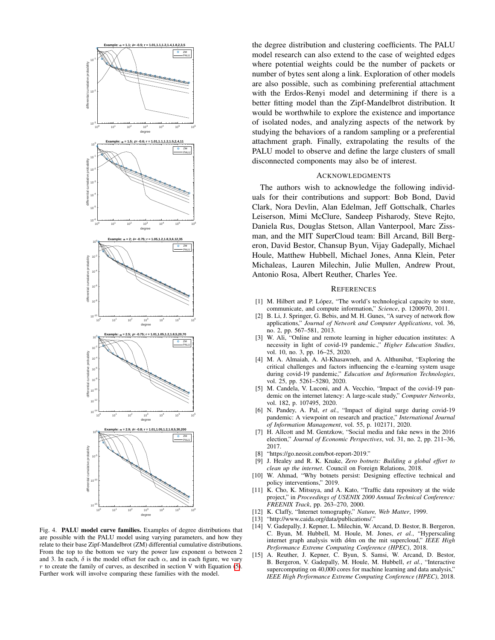

<span id="page-6-10"></span>Fig. 4. PALU model curve families. Examples of degree distributions that are possible with the PALU model using varying parameters, and how they relate to their base Zipf-Mandelbrot (ZM) differential cumulative distributions. From the top to the bottom we vary the power law exponent  $\alpha$  between 2 and 3. In each,  $\delta$  is the model offset for each  $\alpha$ , and in each figure, we vary  $r$  to create the family of curves, as described in section V with Equation [\(5\)](#page-5-0). Further work will involve comparing these families with the model.

the degree distribution and clustering coefficients. The PALU model research can also extend to the case of weighted edges where potential weights could be the number of packets or number of bytes sent along a link. Exploration of other models are also possible, such as combining preferential attachment with the Erdos-Renyi model and determining if there is a better fitting model than the Zipf-Mandelbrot distribution. It would be worthwhile to explore the existence and importance of isolated nodes, and analyzing aspects of the network by studying the behaviors of a random sampling or a preferential attachment graph. Finally, extrapolating the results of the PALU model to observe and define the large clusters of small disconnected components may also be of interest.

## ACKNOWLEDGMENTS

The authors wish to acknowledge the following individuals for their contributions and support: Bob Bond, David Clark, Nora Devlin, Alan Edelman, Jeff Gottschalk, Charles Leiserson, Mimi McClure, Sandeep Pisharody, Steve Rejto, Daniela Rus, Douglas Stetson, Allan Vanterpool, Marc Zissman, and the MIT SuperCloud team: Bill Arcand, Bill Bergeron, David Bestor, Chansup Byun, Vijay Gadepally, Michael Houle, Matthew Hubbell, Michael Jones, Anna Klein, Peter Michaleas, Lauren Milechin, Julie Mullen, Andrew Prout, Antonio Rosa, Albert Reuther, Charles Yee.

#### **REFERENCES**

- <span id="page-6-0"></span>[1] M. Hilbert and P. López, "The world's technological capacity to store, communicate, and compute information," *Science*, p. 1200970, 2011.
- <span id="page-6-1"></span>[2] B. Li, J. Springer, G. Bebis, and M. H. Gunes, "A survey of network flow applications," *Journal of Network and Computer Applications*, vol. 36, no. 2, pp. 567–581, 2013.
- <span id="page-6-2"></span>[3] W. Ali, "Online and remote learning in higher education institutes: A necessity in light of covid-19 pandemic.," *Higher Education Studies*, vol. 10, no. 3, pp. 16–25, 2020.
- [4] M. A. Almaiah, A. Al-Khasawneh, and A. Althunibat, "Exploring the critical challenges and factors influencing the e-learning system usage during covid-19 pandemic," *Education and Information Technologies*, vol. 25, pp. 5261–5280, 2020.
- [5] M. Candela, V. Luconi, and A. Vecchio, "Impact of the covid-19 pandemic on the internet latency: A large-scale study," *Computer Networks*, vol. 182, p. 107495, 2020.
- <span id="page-6-3"></span>[6] N. Pandey, A. Pal, *et al.*, "Impact of digital surge during covid-19 pandemic: A viewpoint on research and practice," *International Journal of Information Management*, vol. 55, p. 102171, 2020.
- <span id="page-6-4"></span>[7] H. Allcott and M. Gentzkow, "Social media and fake news in the 2016 election," *Journal of Economic Perspectives*, vol. 31, no. 2, pp. 211–36, 2017.
- [8] "https://go.neosit.com/bot-report-2019."
- [9] J. Healey and R. K. Knake, *Zero botnets: Building a global effort to clean up the internet*. Council on Foreign Relations, 2018.
- <span id="page-6-5"></span>[10] W. Ahmad, "Why botnets persist: Designing effective technical and policy interventions," 2019.
- <span id="page-6-6"></span>[11] K. Cho, K. Mitsuya, and A. Kato, "Traffic data repository at the wide project," in *Proceedings of USENIX 2000 Annual Technical Conference: FREENIX Track*, pp. 263–270, 2000.
- <span id="page-6-7"></span>[12] K. Claffy, "Internet tomography," *Nature, Web Matter*, 1999.
- <span id="page-6-8"></span>[13] "http://www.caida.org/data/publications/."
- <span id="page-6-9"></span>[14] V. Gadepally, J. Kepner, L. Milechin, W. Arcand, D. Bestor, B. Bergeron, C. Byun, M. Hubbell, M. Houle, M. Jones, *et al.*, "Hyperscaling internet graph analysis with d4m on the mit supercloud," *IEEE High Performance Extreme Computing Conference (HPEC)*, 2018.
- [15] A. Reuther, J. Kepner, C. Byun, S. Samsi, W. Arcand, D. Bestor, B. Bergeron, V. Gadepally, M. Houle, M. Hubbell, *et al.*, "Interactive supercomputing on 40,000 cores for machine learning and data analysis," *IEEE High Performance Extreme Computing Conference (HPEC)*, 2018.